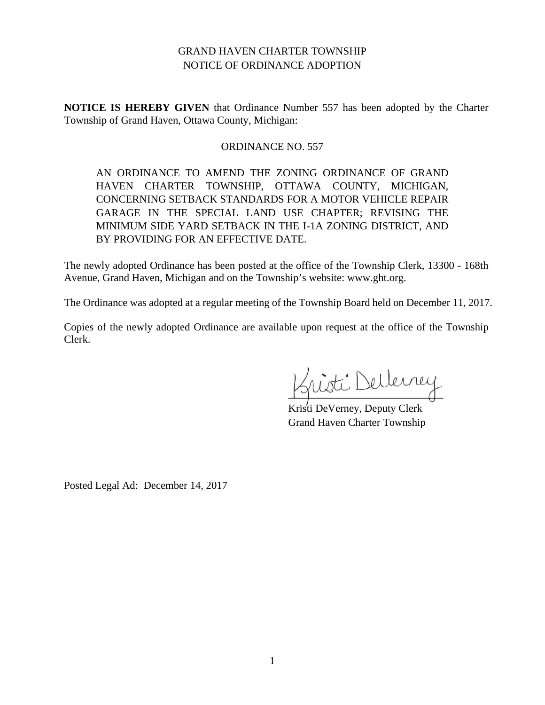# GRAND HAVEN CHARTER TOWNSHIP NOTICE OF ORDINANCE ADOPTION

**NOTICE IS HEREBY GIVEN** that Ordinance Number 557 has been adopted by the Charter Township of Grand Haven, Ottawa County, Michigan:

# ORDINANCE NO. 557

AN ORDINANCE TO AMEND THE ZONING ORDINANCE OF GRAND HAVEN CHARTER TOWNSHIP, OTTAWA COUNTY, MICHIGAN, CONCERNING SETBACK STANDARDS FOR A MOTOR VEHICLE REPAIR GARAGE IN THE SPECIAL LAND USE CHAPTER; REVISING THE MINIMUM SIDE YARD SETBACK IN THE I-1A ZONING DISTRICT, AND BY PROVIDING FOR AN EFFECTIVE DATE.

The newly adopted Ordinance has been posted at the office of the Township Clerk, 13300 - 168th Avenue, Grand Haven, Michigan and on the Township's website: www.ght.org.

The Ordinance was adopted at a regular meeting of the Township Board held on December 11, 2017.

Copies of the newly adopted Ordinance are available upon request at the office of the Township Clerk.

isti Dellerrey

Kristi DeVerney, Deputy Clerk Grand Haven Charter Township

Posted Legal Ad: December 14, 2017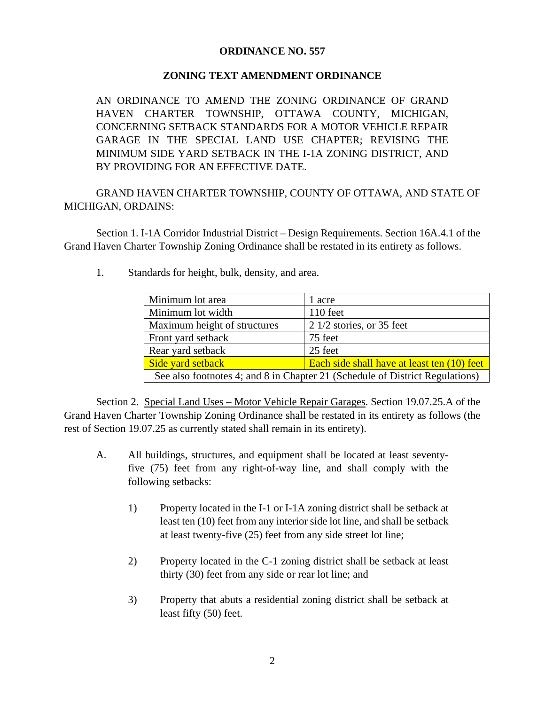# **ORDINANCE NO. 557**

# **ZONING TEXT AMENDMENT ORDINANCE**

AN ORDINANCE TO AMEND THE ZONING ORDINANCE OF GRAND HAVEN CHARTER TOWNSHIP, OTTAWA COUNTY, MICHIGAN, CONCERNING SETBACK STANDARDS FOR A MOTOR VEHICLE REPAIR GARAGE IN THE SPECIAL LAND USE CHAPTER; REVISING THE MINIMUM SIDE YARD SETBACK IN THE I-1A ZONING DISTRICT, AND BY PROVIDING FOR AN EFFECTIVE DATE.

GRAND HAVEN CHARTER TOWNSHIP, COUNTY OF OTTAWA, AND STATE OF MICHIGAN, ORDAINS:

Section 1. I-1A Corridor Industrial District – Design Requirements. Section 16A.4.1 of the Grand Haven Charter Township Zoning Ordinance shall be restated in its entirety as follows.

| Minimum lot area                                                             | 1 acre                                      |  |  |  |  |  |
|------------------------------------------------------------------------------|---------------------------------------------|--|--|--|--|--|
| Minimum lot width                                                            | $110$ feet                                  |  |  |  |  |  |
| Maximum height of structures                                                 | $21/2$ stories, or 35 feet                  |  |  |  |  |  |
| Front yard setback                                                           | 75 feet                                     |  |  |  |  |  |
| Rear yard setback                                                            | 25 feet                                     |  |  |  |  |  |
| Side yard setback                                                            | Each side shall have at least ten (10) feet |  |  |  |  |  |
| See also footnotes 4; and 8 in Chapter 21 (Schedule of District Regulations) |                                             |  |  |  |  |  |

1. Standards for height, bulk, density, and area.

Section 2. Special Land Uses – Motor Vehicle Repair Garages. Section 19.07.25.A of the Grand Haven Charter Township Zoning Ordinance shall be restated in its entirety as follows (the rest of Section 19.07.25 as currently stated shall remain in its entirety).

- A. All buildings, structures, and equipment shall be located at least seventyfive (75) feet from any right-of-way line, and shall comply with the following setbacks:
	- 1) Property located in the I-1 or I-1A zoning district shall be setback at least ten (10) feet from any interior side lot line, and shall be setback at least twenty-five (25) feet from any side street lot line;
	- 2) Property located in the C-1 zoning district shall be setback at least thirty (30) feet from any side or rear lot line; and
	- 3) Property that abuts a residential zoning district shall be setback at least fifty (50) feet.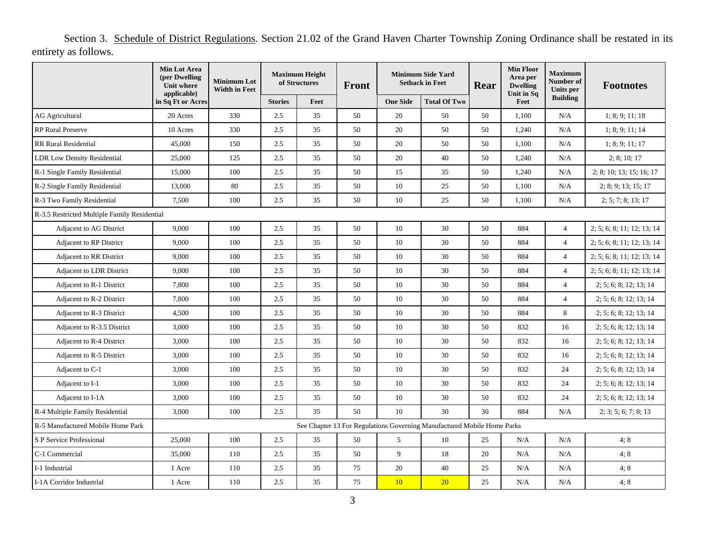Section 3. Schedule of District Regulations. Section 21.02 of the Grand Haven Charter Township Zoning Ordinance shall be restated in its entirety as follows.

|                                              | Min Lot Area<br>(per Dwelling<br><b>Unit where</b> | <b>Minimum Lot</b><br><b>Width in Feet</b> | <b>Maximum Height</b><br>of Structures |      | Front | <b>Minimum Side Yard</b><br><b>Setback in Feet</b> |                                                                         | Rear | <b>Min Floor</b><br>Area per<br><b>Dwelling</b> | <b>Maximum</b><br>Number of<br>Units per | <b>Footnotes</b>           |
|----------------------------------------------|----------------------------------------------------|--------------------------------------------|----------------------------------------|------|-------|----------------------------------------------------|-------------------------------------------------------------------------|------|-------------------------------------------------|------------------------------------------|----------------------------|
|                                              | applicable)<br>in Sq Ft or Acres                   |                                            | <b>Stories</b>                         | Feet |       | <b>One Side</b>                                    | <b>Total Of Two</b>                                                     |      | Unit in Sq<br>Feet                              | <b>Building</b>                          |                            |
| <b>AG Agricultural</b>                       | 20 Acres                                           | 330                                        | 2.5                                    | 35   | 50    | 20                                                 | 50                                                                      | 50   | 1,100                                           | N/A                                      | 1; 8; 9; 11; 18            |
| <b>RP</b> Rural Preserve                     | 10 Acres                                           | 330                                        | 2.5                                    | 35   | 50    | 20                                                 | 50                                                                      | 50   | 1,240                                           | N/A                                      | 1; 8; 9; 11; 14            |
| <b>RR Rural Residential</b>                  | 45,000                                             | 150                                        | 2.5                                    | 35   | 50    | 20                                                 | 50                                                                      | 50   | 1,100                                           | N/A                                      | 1; 8; 9; 11; 17            |
| <b>LDR Low Density Residential</b>           | 25,000                                             | 125                                        | 2.5                                    | 35   | 50    | 20                                                 | 40                                                                      | 50   | 1,240                                           | N/A                                      | 2; 8; 10; 17               |
| R-1 Single Family Residential                | 15,000                                             | 100                                        | 2.5                                    | 35   | 50    | 15                                                 | 35                                                                      | 50   | 1,240                                           | N/A                                      | 2; 8; 10; 13; 15; 16; 17   |
| R-2 Single Family Residential                | 13,000                                             | 80                                         | 2.5                                    | 35   | 50    | $10\,$                                             | 25                                                                      | 50   | 1,100                                           | N/A                                      | 2; 8; 9; 13; 15; 17        |
| R-3 Two Family Residential                   | 7,500                                              | 100                                        | 2.5                                    | 35   | 50    | $10\,$                                             | 25                                                                      | 50   | 1,100                                           | N/A                                      | 2; 5; 7; 8; 13; 17         |
| R-3.5 Restricted Multiple Family Residential |                                                    |                                            |                                        |      |       |                                                    |                                                                         |      |                                                 |                                          |                            |
| Adjacent to AG District                      | 9,000                                              | 100                                        | 2.5                                    | 35   | 50    | 10                                                 | 30                                                                      | 50   | 884                                             | $\overline{4}$                           | 2; 5; 6; 8; 11; 12; 13; 14 |
| <b>Adjacent to RP District</b>               | 9,000                                              | 100                                        | 2.5                                    | 35   | 50    | 10                                                 | 30                                                                      | 50   | 884                                             | $\overline{4}$                           | 2; 5; 6; 8; 11; 12; 13; 14 |
| Adjacent to RR District                      | 9,000                                              | 100                                        | 2.5                                    | 35   | 50    | 10                                                 | 30                                                                      | 50   | 884                                             | $\overline{4}$                           | 2; 5; 6; 8; 11; 12; 13; 14 |
| <b>Adjacent to LDR District</b>              | 9,000                                              | 100                                        | 2.5                                    | 35   | 50    | 10                                                 | 30                                                                      | 50   | 884                                             | $\overline{4}$                           | 2; 5; 6; 8; 11; 12; 13; 14 |
| Adjacent to R-1 District                     | 7,800                                              | 100                                        | 2.5                                    | 35   | 50    | 10                                                 | 30                                                                      | 50   | 884                                             | $\overline{4}$                           | 2; 5; 6; 8; 12; 13; 14     |
| Adjacent to R-2 District                     | 7,800                                              | 100                                        | 2.5                                    | 35   | 50    | 10                                                 | 30                                                                      | 50   | 884                                             | $\overline{4}$                           | 2; 5; 6; 8; 12; 13; 14     |
| Adjacent to R-3 District                     | 4,500                                              | 100                                        | 2.5                                    | 35   | 50    | $10\,$                                             | 30                                                                      | 50   | 884                                             | 8                                        | 2; 5; 6; 8; 12; 13; 14     |
| Adjacent to R-3.5 District                   | 3,000                                              | 100                                        | 2.5                                    | 35   | 50    | 10                                                 | 30                                                                      | 50   | 832                                             | 16                                       | 2; 5; 6; 8; 12; 13; 14     |
| Adjacent to R-4 District                     | 3,000                                              | 100                                        | 2.5                                    | 35   | 50    | 10                                                 | 30                                                                      | 50   | 832                                             | 16                                       | 2; 5; 6; 8; 12; 13; 14     |
| Adjacent to R-5 District                     | 3,000                                              | 100                                        | 2.5                                    | 35   | 50    | 10                                                 | 30                                                                      | 50   | 832                                             | 16                                       | 2; 5; 6; 8; 12; 13; 14     |
| Adjacent to C-1                              | 3,000                                              | 100                                        | 2.5                                    | 35   | 50    | 10                                                 | 30                                                                      | 50   | 832                                             | 24                                       | 2; 5; 6; 8; 12; 13; 14     |
| Adjacent to I-1                              | 3,000                                              | 100                                        | 2.5                                    | 35   | 50    | 10                                                 | 30                                                                      | 50   | 832                                             | 24                                       | 2; 5; 6; 8; 12; 13; 14     |
| Adjacent to I-1A                             | 3,000                                              | 100                                        | 2.5                                    | 35   | 50    | 10                                                 | 30                                                                      | 50   | 832                                             | 24                                       | 2; 5; 6; 8; 12; 13; 14     |
| R-4 Multiple Family Residential              | 3,000                                              | 100                                        | 2.5                                    | 35   | 50    | 10                                                 | 30                                                                      | 30   | 884                                             | N/A                                      | 2; 3; 5; 6; 7; 8; 13       |
| R-5 Manufactured Mobile Home Park            |                                                    |                                            |                                        |      |       |                                                    | See Chapter 13 For Regulations Governing Manufactured Mobile Home Parks |      |                                                 |                                          |                            |
| S P Service Professional                     | 25,000                                             | 100                                        | 2.5                                    | 35   | 50    | 5                                                  | 10                                                                      | 25   | N/A                                             | N/A                                      | 4:8                        |
| C-1 Commercial                               | 35,000                                             | 110                                        | 2.5                                    | 35   | 50    | 9                                                  | 18                                                                      | 20   | N/A                                             | N/A                                      | 4:8                        |
| I-1 Industrial                               | 1 Acre                                             | 110                                        | 2.5                                    | 35   | 75    | 20                                                 | 40                                                                      | 25   | N/A                                             | N/A                                      | 4;8                        |
| I-1A Corridor Industrial                     | 1 Acre                                             | 110                                        | 2.5                                    | 35   | 75    | 10                                                 | 20                                                                      | 25   | N/A                                             | N/A                                      | 4;8                        |